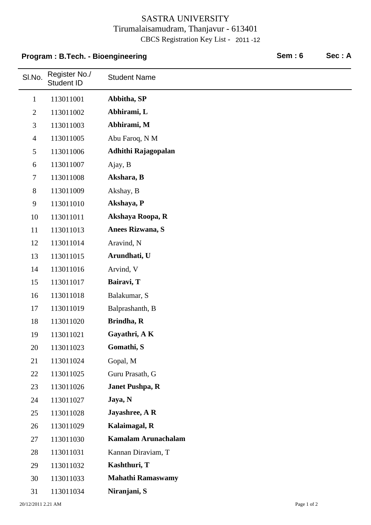## SASTRA UNIVERSITY Tirumalaisamudram, Thanjavur - 613401 CBCS Registration Key List - 2011 -12

## **Program : B.Tech. - Bioengineering Community Community Community Community Community Community Community Community Community Community Community Community Community Community Community Community Community Community Commun**

| SI.No.         | Register No./<br><b>Student ID</b> | <b>Student Name</b>        |
|----------------|------------------------------------|----------------------------|
| $\mathbf{1}$   | 113011001                          | Abbitha, SP                |
| $\mathbf{2}$   | 113011002                          | Abhirami, L                |
| $\mathfrak{Z}$ | 113011003                          | Abhirami, M                |
| $\overline{4}$ | 113011005                          | Abu Faroq, N M             |
| 5              | 113011006                          | Adhithi Rajagopalan        |
| 6              | 113011007                          | Ajay, B                    |
| $\tau$         | 113011008                          | Akshara, B                 |
| $8\,$          | 113011009                          | Akshay, B                  |
| $\mathbf{9}$   | 113011010                          | Akshaya, P                 |
| 10             | 113011011                          | Akshaya Roopa, R           |
| 11             | 113011013                          | Anees Rizwana, S           |
| 12             | 113011014                          | Aravind, N                 |
| 13             | 113011015                          | Arundhati, U               |
| 14             | 113011016                          | Arvind, V                  |
| 15             | 113011017                          | Bairavi, T                 |
| 16             | 113011018                          | Balakumar, S               |
| 17             | 113011019                          | Balprashanth, B            |
| 18             | 113011020                          | Brindha, R                 |
| 19             | 113011021                          | Gayathri, A K              |
| 20             | 113011023                          | Gomathi, S                 |
| 21             | 113011024                          | Gopal, M                   |
| 22             | 113011025                          | Guru Prasath, G            |
| 23             | 113011026                          | <b>Janet Pushpa, R</b>     |
| 24             | 113011027                          | Jaya, N                    |
| 25             | 113011028                          | Jayashree, A R             |
| 26             | 113011029                          | Kalaimagal, R              |
| 27             | 113011030                          | <b>Kamalam Arunachalam</b> |
| 28             | 113011031                          | Kannan Diraviam, T         |
| 29             | 113011032                          | Kashthuri, T               |
| 30             | 113011033                          | <b>Mahathi Ramaswamy</b>   |
| 31             | 113011034                          | Niranjani, S               |